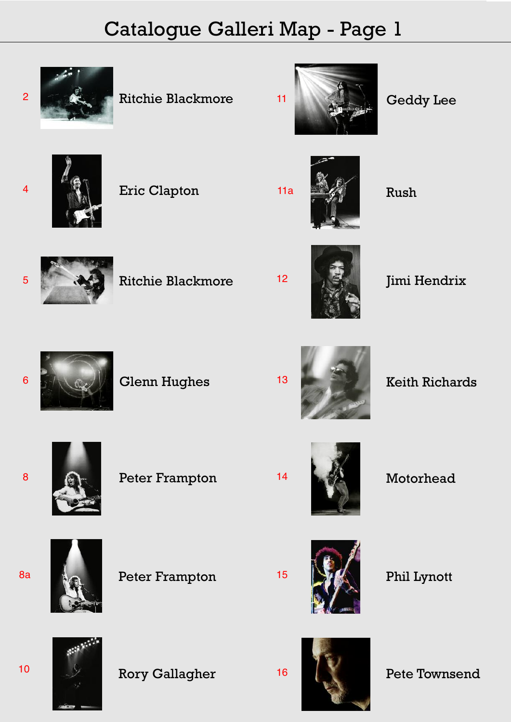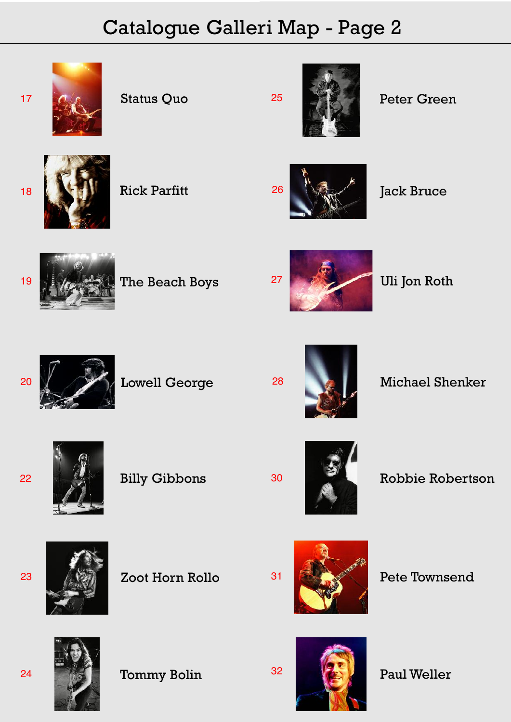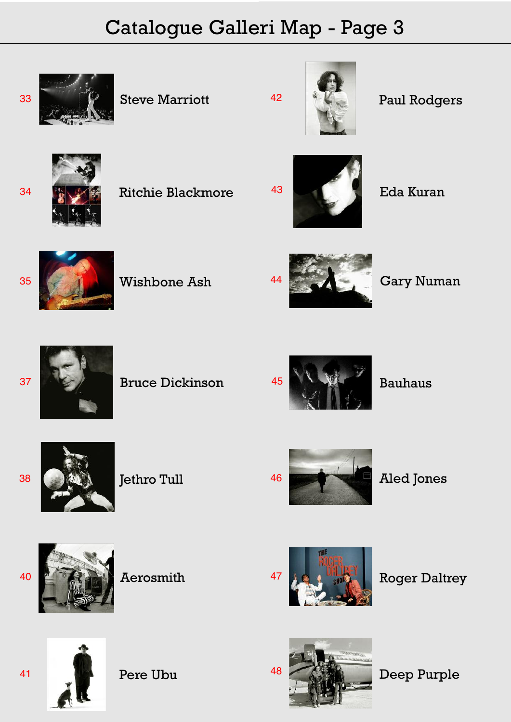

Pere Ubu

48 Deep Purple

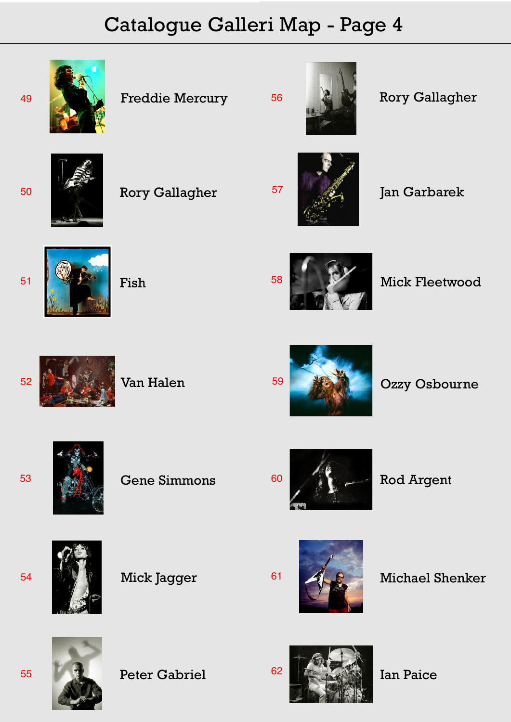